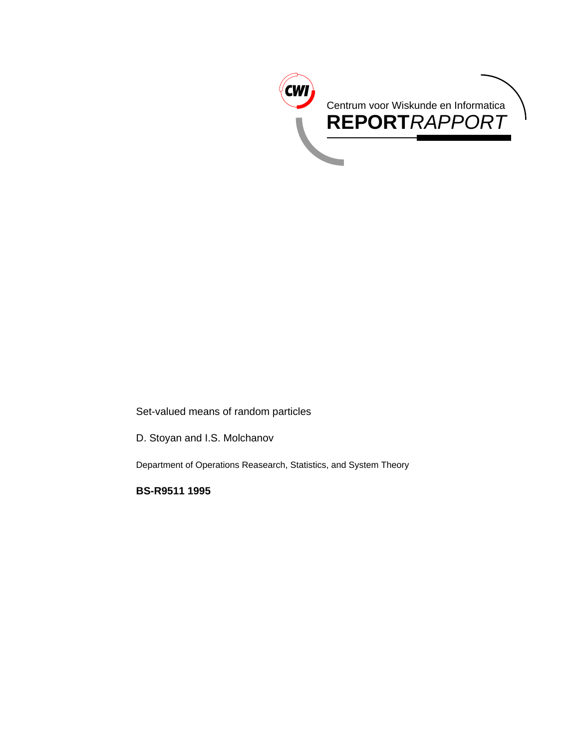

Set-valued means of random particles

D. Stoyan and I.S. Molchanov

Department of Operations Reasearch, Statistics, and System Theory

**BS-R9511 1995**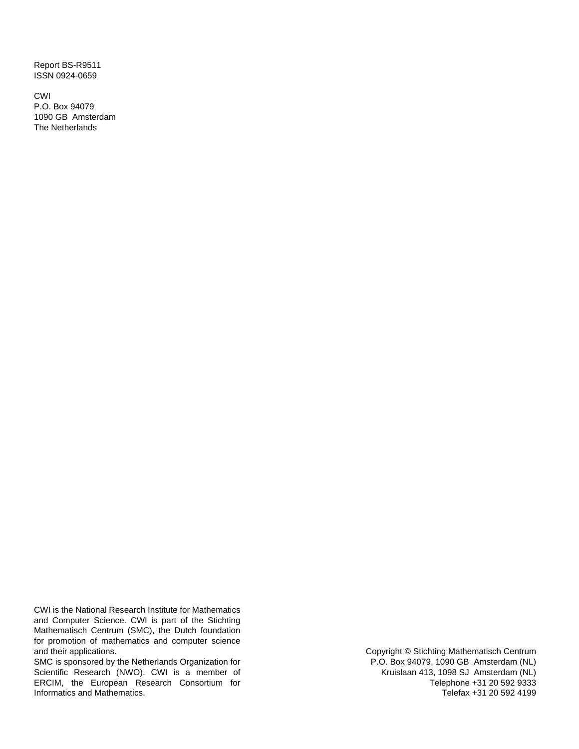Report BS-R9511 ISSN 0924-0659

CWI P.O. Box 94079 1090 GB Amsterdam The Netherlands

CWI is the National Research Institute for Mathematics and Computer Science. CWI is part of the Stichting Mathematisch Centrum (SMC), the Dutch foundation for promotion of mathematics and computer science and their applications.

SMC is sponsored by the Netherlands Organization for Scientific Research (NWO). CWI is a member of ERCIM, the European Research Consortium for Informatics and Mathematics.

Copyright © Stichting Mathematisch Centrum P.O. Box 94079, 1090 GB Amsterdam (NL) Kruislaan 413, 1098 SJ Amsterdam (NL) Telephone +31 20 592 9333 Telefax +31 20 592 4199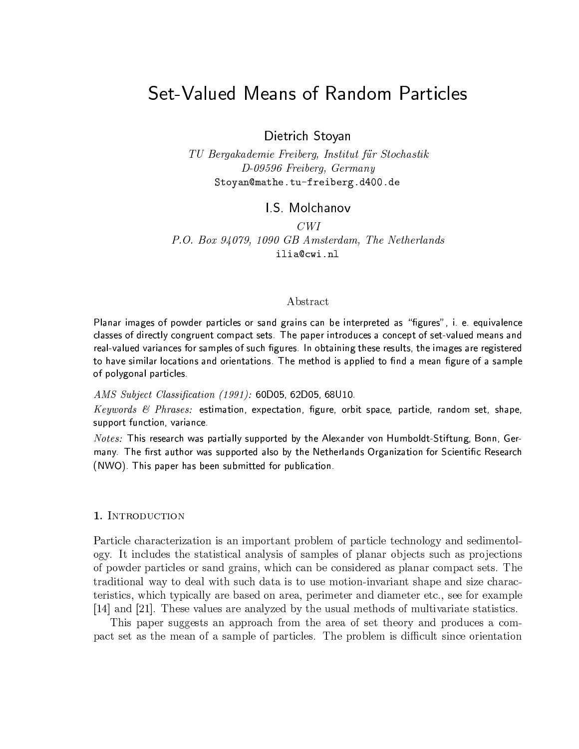# Set-Valued Means of Random Particles

# Dietrich Stoyan

TU Bergakademie Freiberg, Institut für Stochastik D-09596 Freiberg, Germany Stoyan@mathe.tu-freiberg.d400.de

## **I.S. Molchanov**

 $CWI$ P.O. Box 94079, 1090 GB Amsterdam, The Netherlands ilia@cwi.nl

#### Abstract

Planar images of powder particles or sand grains can be interpreted as "figures", i. e. equivalence classes of directly congruent compact sets. The paper introduces a concept of set-valued means and real-valued variances for samples of such figures. In obtaining these results, the images are registered to have similar locations and orientations. The method is applied to find a mean figure of a sample of polygonal particles.

### AMS Subject Classification (1991): 60D05, 62D05, 68U10.

Keywords & Phrases: estimation, expectation, figure, orbit space, particle, random set, shape, support function, variance.

Notes: This research was partially supported by the Alexander von Humboldt-Stiftung, Bonn, Germany. The first author was supported also by the Netherlands Organization for Scientific Research (NWO). This paper has been submitted for publication.

## 1. INTRODUCTION

Particle characterization is an important problem of particle technology and sedimentology. It includes the statistical analysis of samples of planar objects such as projections of powder particles or sand grains, which can be considered as planar compact sets. The traditional way to deal with such data is to use motion-invariant shape and size characteristics, which typically are based on area, perimeter and diameter etc., see for example [14] and [21]. These values are analyzed by the usual methods of multivariate statistics.

This paper suggests an approach from the area of set theory and produces a compact set as the mean of a sample of particles. The problem is difficult since orientation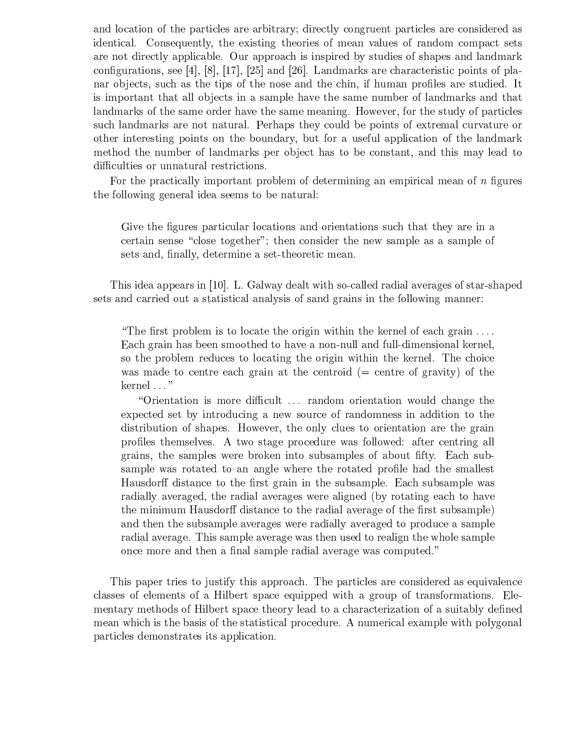and location of the particles are arbitrary; directly congruent particles are considered as  $\kappa$  , and  $\kappa$  and  $\kappa$  and  $\kappa$  and  $\kappa$  and  $\kappa$  and  $\kappa$  and  $\kappa$  and  $\kappa$  and  $\kappa$ are not directly applicable. Our approach is inspired by studies of shapes and landmark configurations, see [4], [8], [17], [25] and [26]. Landmarks are characteristic points of planar objects, such as the tips of the nose and the chin, if human profiles are studied. It is important that all objects in a sample have the same number of landmarks and that landmarks of the same order have the same meaning. However, for the study of particles  $\blacksquare$ other interesting points on the boundary, but for a useful application of the landmark method the number of landmarks per object has to be constant, and this may lead to difficulties or unnatural restrictions.

For the practically important problem of determining an empirical mean of  $n$  figures the following general idea seems to be natural:

Give the figures particular locations and orientations such that they are in a certain sense "close together"; then consider the new sample as a sample of sets and, finally, determine a set-theoretic mean.

w"Q\_K ¸FKVf)O¼\*¼\)\GO¼w»Y¸KPW i ± k¥rk ®¼ M~s'¼ef)O¼ M.¹s"K.¹>Q¸U h½¼ M~MPO`f»W¼f\_Kp¼ M¼{Oo»W¼ dOo¸U bi¸Ô¹3¼w»Rh¸Q=¼\GO`f sets and carried out a statistical analysis of sand grains in the following manner:

¯w"Q)Oi»Y¸º¹\c»UP·\_MPO[²K ¸C¹>UMPU2½¼N¹OÙ¹Q)OU%»RKTdXKPWs"K.¹>Q\_KPW¹Q)OpOo»LW)ONM U brO;¼w½}QZdQ»W¼ KPW³³`³k Each grain has been smoothed to have a non-null and full-dimensional kernel, so the problem reduces to locating the origin within the kernel. The choice s'¼w¸[\$¼f)O¹U ½`OW2¹W»OuO;¼w½NQdQ»Y¼ KVW ¼n¹¹Q)O ½O`WQ¹W»LUKPf¶µR· ½O`WQ¹W»LOuU b^dQ»W¼{KÕ¹¸e+¹U b¹Q)O kernel ..."

"Orientation is more difficult ... random orientation would change the w) oo baadaa ka baadaa ka baadaa ka baadaa ka baadaa ka baadaa ka baadaa ka baadaa ka baadaa ka baadaa ka baada distribution of shapes. However, the only clues to orientation are the grain profiles themselves. A two stage procedure was followed: after centring all  $\blacksquare$ sample was rotated to an angle where the rotated profile had the smallest §¼nc¸f)U%»¸»¼f\_K ¸Ô¹3¼Wc½`O¹Uì¹Q)Oi»Ô¸Ô¹2dQ»Y¼ KVW½KPW ¹Q)O¸Ln=·c¸3¼[]\\_MPOXk ´¼w½NQ ¸nc·c¸3¼[]\gMPOs'¼w¸ radially averaged, the radial averages were aligned (by rotating each to have the minimum Hausdorff distance to the radial average of the first subsample) and then the subsample averages were radially averaged to produce a sample radial average. This sample average was then used to realign the whole sample once more and then a final sample radial average was computed."

This paper tries to justify this approach. The particles are considered as equivalence which is a constant of the contract  $\alpha$  of the contract  $\alpha$  is the contract of the  $\alpha$  vectors  $\alpha$ mentary methods of Hilbert space theory lead to a characterization of a suitably defined mean which is the basis of the statistical procedure. A numerical example with polygonal particles demonstrates its application.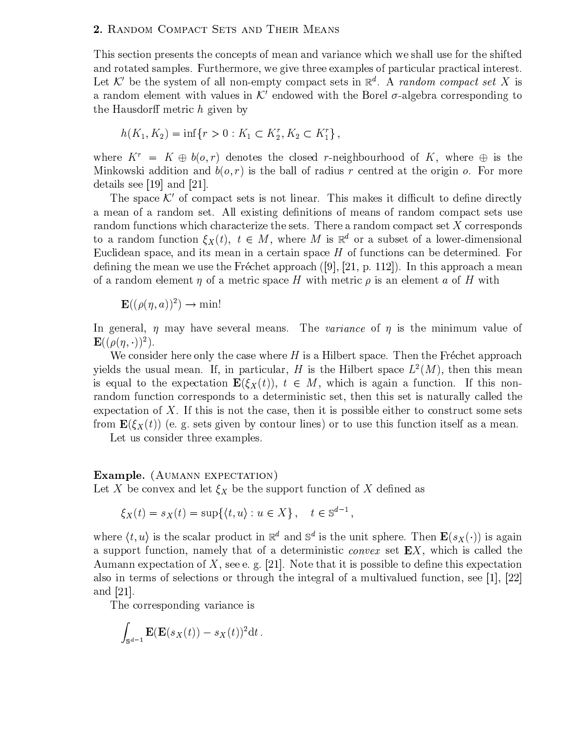#### 2. RANDOM COMPACT SETS AND THEIR MEANS

This section presents the concepts of mean and variance which we shall use for the shifted and rotated samples. Furthermore, we give three examples of particular practical interest. Let K' be the system of all non-empty compact sets in  $\mathbb{R}^d$ . A random compact set X is a random element with values in  $K'$  endowed with the Borel  $\sigma$ -algebra corresponding to the Hausdorff metric  $h$  given by

$$
h(K_1, K_2) = \inf\{r > 0 : K_1 \subset K_2^r, K_2 \subset K_1^r\},\
$$

where  $K^r = K \oplus b(o, r)$  denotes the closed r-neighbourhood of K, where  $\oplus$  is the Minkowski addition and  $b(o, r)$  is the ball of radius r centred at the origin o. For more details see [19] and [21].

The space  $K'$  of compact sets is not linear. This makes it difficult to define directly a mean of a random set. All existing definitions of means of random compact sets use random functions which characterize the sets. There a random compact set  $X$  corresponds to a random function  $\xi_X(t)$ ,  $t \in M$ , where M is  $\mathbb{R}^d$  or a subset of a lower-dimensional Euclidean space, and its mean in a certain space  $H$  of functions can be determined. For defining the mean we use the Fréchet approach ([9], [21, p. 112]). In this approach a mean of a random element  $\eta$  of a metric space H with metric  $\rho$  is an element a of H with

$$
\mathbf{E}((\rho(\eta,a))^2) \to \min!
$$

In general,  $\eta$  may have several means. The variance of  $\eta$  is the minimum value of  $\mathbf{E}((\rho(\eta,\cdot))^2).$ 

We consider here only the case where  $H$  is a Hilbert space. Then the Fréchet approach yields the usual mean. If, in particular, H is the Hilbert space  $L^2(M)$ , then this mean is equal to the expectation  $\mathbf{E}(\xi_X(t))$ ,  $t \in M$ , which is again a function. If this nonrandom function corresponds to a deterministic set, then this set is naturally called the expectation of  $X$ . If this is not the case, then it is possible either to construct some sets from  $\mathbf{E}(\xi_X(t))$  (e.g. sets given by contour lines) or to use this function itself as a mean.

Let us consider three examples.

### Example. (AUMANN EXPECTATION)

Let X be convex and let  $\xi_X$  be the support function of X defined as

$$
\xi_X(t) = s_X(t) = \sup\{ \langle t, u \rangle : u \in X \}, \quad t \in \mathbb{S}^{d-1},
$$

where  $\langle t, u \rangle$  is the scalar product in  $\mathbb{R}^d$  and  $\mathbb{S}^d$  is the unit sphere. Then  $\mathbf{E}(s_X(\cdot))$  is again a support function, namely that of a deterministic *convex* set  $E X$ , which is called the Aumann expectation of X, see e.g. [21]. Note that it is possible to define this expectation also in terms of selections or through the integral of a multivalued function, see [1], [22] and  $[21]$ .

The corresponding variance is

$$
\int_{\mathbf{S}^{d-1}} \mathbf{E}(\mathbf{E}(s_X(t)) - s_X(t))^2 dt.
$$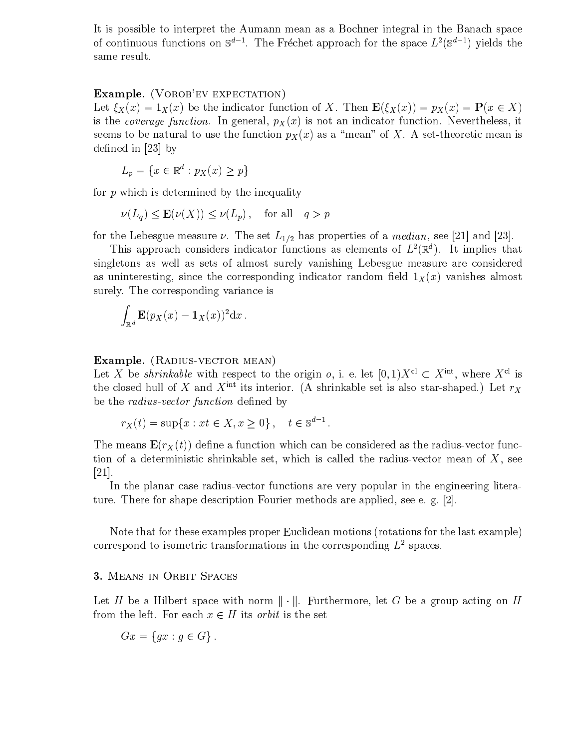It is possible to interpret the Aumann mean as a Bochner integral in the Banach space of continuous functions on  $\mathbb{S}^{d-1}$ . The Fréchet approach for the space  $L^2(\mathbb{S}^{d-1})$  yields the same result.

## Example. (VOROB'EV EXPECTATION)

Let  $\xi_X(x) = 1_X(x)$  be the indicator function of X. Then  $\mathbf{E}(\xi_X(x)) = p_X(x) = \mathbf{P}(x \in X)$ is the *coverage function*. In general,  $p_X(x)$  is not an indicator function. Nevertheless, it seems to be natural to use the function  $p_X(x)$  as a "mean" of X. A set-theoretic mean is defined in  $[23]$  by

$$
L_p = \{ x \in \mathbb{R}^d : p_X(x) \ge p \}
$$

for  $p$  which is determined by the inequality

$$
\nu(L_q) \le \mathbf{E}(\nu(X)) \le \nu(L_p), \quad \text{for all} \quad q > p
$$

for the Lebesgue measure  $\nu$ . The set  $L_{1/2}$  has properties of a *median*, see [21] and [23].

This approach considers indicator functions as elements of  $L^2(\mathbb{R}^d)$ . It implies that singletons as well as sets of almost surely vanishing Lebesgue measure are considered as uninteresting, since the corresponding indicator random field  $1_X(x)$  vanishes almost surely. The corresponding variance is

$$
\int_{\mathbb{R}^d} \mathbf{E}(p_X(x) - \mathbf{1}_X(x))^2 \mathrm{d} x
$$

## Example. (RADIUS-VECTOR MEAN)

Let X be shrinkable with respect to the origin o, i. e. let  $[0,1)X^{cl} \subset X^{int}$ , where  $X^{cl}$  is the closed hull of X and  $X^{\text{int}}$  its interior. (A shrinkable set is also star-shaped.) Let  $r_X$ be the *radius-vector* function defined by

$$
r_X(t) = \sup\{x : xt \in X, x \ge 0\}, \quad t \in \mathbb{S}^{d-1}.
$$

The means  $\mathbf{E}(r_X(t))$  define a function which can be considered as the radius-vector function of a deterministic shrinkable set, which is called the radius-vector mean of  $X$ , see  $[21]$ .

In the planar case radius-vector functions are very popular in the engineering literature. There for shape description Fourier methods are applied, see e.g. [2].

Note that for these examples proper Euclidean motions (rotations for the last example) correspond to isometric transformations in the corresponding  $L^2$  spaces.

### 3. MEANS IN ORBIT SPACES

Let H be a Hilbert space with norm  $\|\cdot\|$ . Furthermore, let G be a group acting on H from the left. For each  $x \in H$  its *orbit* is the set

$$
Gx = \{gx : g \in G\}
$$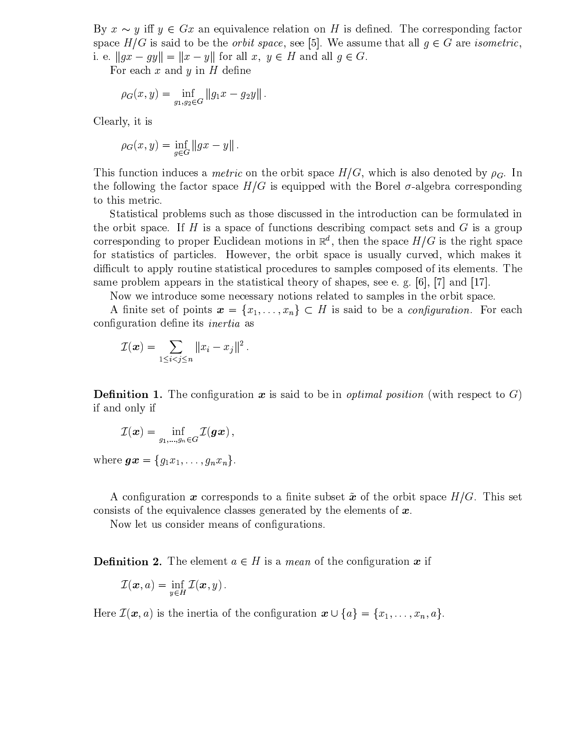By  $x \sim y$  iff  $y \in Gx$  an equivalence relation on H is defined. The corresponding factor space  $H/G$  is said to be the *orbit space*, see [5]. We assume that all  $g \in G$  are *isometric*, i. e.  $||gx - gy|| = ||x - y||$  for all  $x, y \in H$  and all  $g \in G$ .

For each  $x$  and  $y$  in  $H$  define

$$
\rho_G(x, y) = \inf_{g_1, g_2 \in G} ||g_1 x - g_2 y||
$$

Clearly, it is

$$
\rho_G(x, y) = \inf_{g \in G} \|gx - y\|.
$$

This function induces a *metric* on the orbit space  $H/G$ , which is also denoted by  $\rho_G$ . In the following the factor space  $H/G$  is equipped with the Borel  $\sigma$ -algebra corresponding to this metric.

Statistical problems such as those discussed in the introduction can be formulated in the orbit space. If  $H$  is a space of functions describing compact sets and  $G$  is a group corresponding to proper Euclidean motions in  $\mathbb{R}^d$ , then the space  $H/G$  is the right space for statistics of particles. However, the orbit space is usually curved, which makes it difficult to apply routine statistical procedures to samples composed of its elements. The same problem appears in the statistical theory of shapes, see e.g. [6], [7] and [17].

Now we introduce some necessary notions related to samples in the orbit space.

A finite set of points  $\mathbf{x} = \{x_1, \ldots, x_n\} \subset H$  is said to be a *configuration*. For each configuration define its *inertia* as

$$
\mathcal{I}(\boldsymbol{x}) = \sum_{1 \leq i < j \leq n} \|x_i - x_j\|^2
$$

**Definition 1.** The configuration x is said to be in *optimal position* (with respect to G) if and only if

$$
\mathcal{I}(\boldsymbol{x}) = \inf_{g_1, \dots, g_n \in G} \mathcal{I}(\boldsymbol{gx}),
$$

where  $\mathbf{g}\mathbf{x} = \{g_1x_1, \ldots, g_nx_n\}.$ 

A configuration x corresponds to a finite subset  $\tilde{x}$  of the orbit space  $H/G$ . This set consists of the equivalence classes generated by the elements of  $x$ .

Now let us consider means of configurations.

**Definition 2.** The element  $a \in H$  is a *mean* of the configuration x if

$$
\mathcal{I}(\boldsymbol{x},a)=\inf_{y\in H}\mathcal{I}(\boldsymbol{x},y).
$$

Here  $\mathcal{I}(\boldsymbol{x}, a)$  is the inertia of the configuration  $\boldsymbol{x} \cup \{a\} = \{x_1, \ldots, x_n, a\}.$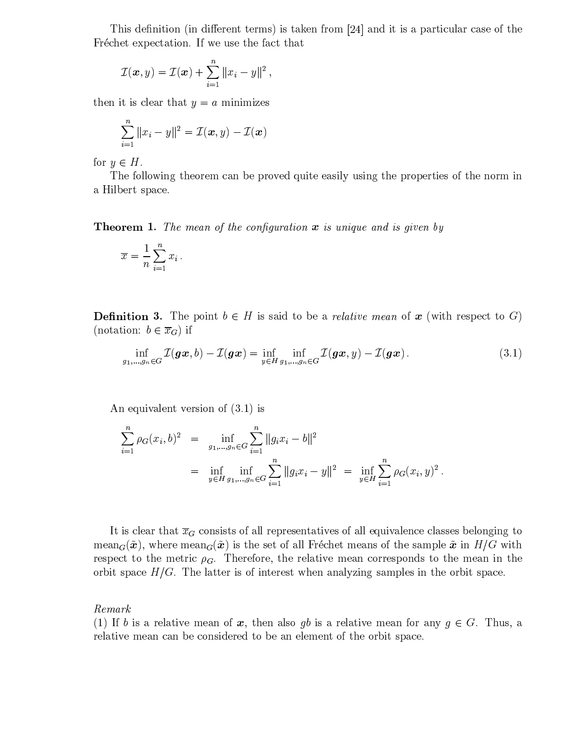This definition (in different terms) is taken from [24] and it is a particular case of the Fréchet expectation. If we use the fact that

$$
\mathcal{I}(\boldsymbol{x}, y) = \mathcal{I}(\boldsymbol{x}) + \sum_{i=1}^n ||x_i - y||^2,
$$

then it is clear that  $y = a$  minimizes

$$
\sum_{i=1}^n \|x_i - y\|^2 = \mathcal{I}(\boldsymbol{x}, y) - \mathcal{I}(\boldsymbol{x})
$$

for  $y \in H$ .

The following theorem can be proved quite easily using the properties of the norm in a Hilbert space.

**Theorem 1.** The mean of the configuration  $x$  is unique and is given by

$$
\overline{x} = \frac{1}{n} \sum_{i=1}^{n} x_i
$$

**Definition 3.** The point  $b \in H$  is said to be a *relative mean* of x (with respect to G) (notation:  $b \in \overline{x}_G$ ) if

$$
\inf_{g_1,\dots,g_n\in G} \mathcal{I}(\boldsymbol{gx},b)-\mathcal{I}(\boldsymbol{gx})=\inf_{y\in H} \inf_{g_1,\dots,g_n\in G} \mathcal{I}(\boldsymbol{gx},y)-\mathcal{I}(\boldsymbol{gx}). \qquad (3.1)
$$

An equivalent version of  $(3.1)$  is

$$
\sum_{i=1}^{n} \rho_G(x_i, b)^2 = \inf_{g_1, \dots, g_n \in G} \sum_{i=1}^{n} ||g_i x_i - b||^2
$$
  
= 
$$
\inf_{y \in H} \inf_{g_1, \dots, g_n \in G} \sum_{i=1}^{n} ||g_i x_i - y||^2 = \inf_{y \in H} \sum_{i=1}^{n} \rho_G(x_i, y)^2.
$$

It is clear that  $\overline{x}_G$  consists of all representatives of all equivalence classes belonging to mean<sub>G</sub>( $\tilde{\boldsymbol{x}}$ ), where mean<sub>G</sub>( $\tilde{\boldsymbol{x}}$ ) is the set of all Fréchet means of the sample  $\tilde{\boldsymbol{x}}$  in H/G with respect to the metric  $\rho_G$ . Therefore, the relative mean corresponds to the mean in the orbit space  $H/G$ . The latter is of interest when analyzing samples in the orbit space.

Remark

(1) If b is a relative mean of x, then also gb is a relative mean for any  $g \in G$ . Thus, a relative mean can be considered to be an element of the orbit space.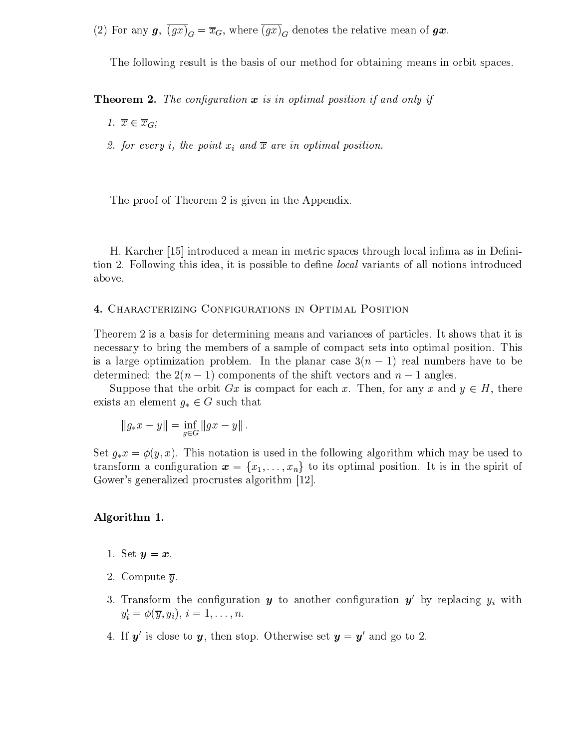(2) For any  $g, \overline{(gx)}_G = \overline{x}_G$ , where  $\overline{(gx)}_G$  denotes the relative mean of  $gx$ .

The following result is the basis of our method for obtaining means in orbit spaces.

**Theorem 2.** The configuration  $x$  is in optimal position if and only if

1.  $\overline{x} \in \overline{x}_G$ ;

2. for every i, the point  $x_i$  and  $\overline{x}$  are in optimal position.

The proof of Theorem 2 is given in the Appendix.

H. Karcher [15] introduced a mean in metric spaces through local infima as in Definition 2. Following this idea, it is possible to define *local* variants of all notions introduced above.

## 4. CHARACTERIZING CONFIGURATIONS IN OPTIMAL POSITION

Theorem 2 is a basis for determining means and variances of particles. It shows that it is necessary to bring the members of a sample of compact sets into optimal position. This is a large optimization problem. In the planar case  $3(n-1)$  real numbers have to be determined: the  $2(n-1)$  components of the shift vectors and  $n-1$  angles.

Suppose that the orbit  $Gx$  is compact for each x. Then, for any x and  $y \in H$ , there exists an element  $g_* \in G$  such that

$$
||g_*x - y|| = \inf_{g \in G} ||gx - y||.
$$

Set  $g_*x = \phi(y,x)$ . This notation is used in the following algorithm which may be used to transform a configuration  $\mathbf{x} = \{x_1, \ldots, x_n\}$  to its optimal position. It is in the spirit of Gower's generalized procrustes algorithm [12].

## Algorithm 1.

- 1. Set  $y=x$ .
- 2. Compute  $\overline{y}$ .
- 3. Transform the configuration y to another configuration y' by replacing  $y_i$  with  $y_i' = \phi(\overline{y}, y_i), i = 1, \ldots, n.$
- 4. If y' is close to y, then stop. Otherwise set  $y = y'$  and go to 2.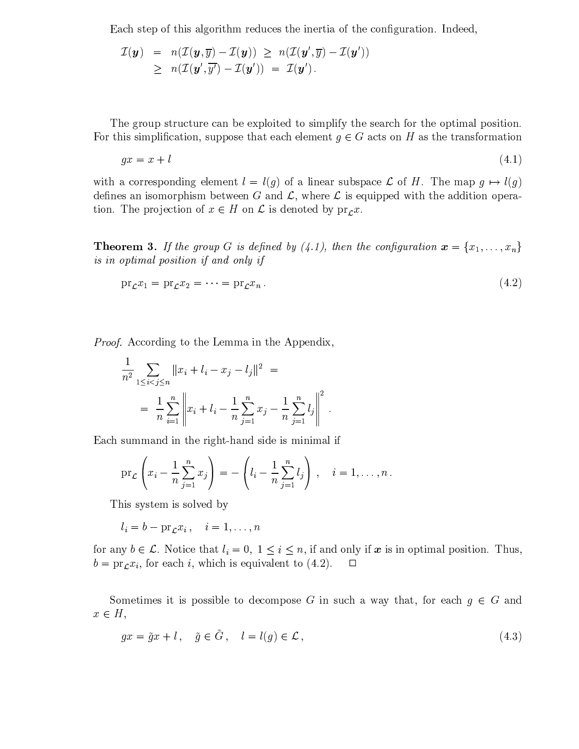Each step of this algorithm reduces the inertia of the configuration. Indeed,

$$
\mathcal{I}(\mathbf{y}) = n(\mathcal{I}(\mathbf{y}, \overline{y}) - \mathcal{I}(\mathbf{y})) \geq n(\mathcal{I}(\mathbf{y}', \overline{y}) - \mathcal{I}(\mathbf{y}')) \geq n(\mathcal{I}(\mathbf{y}', \overline{y}') - \mathcal{I}(\mathbf{y}')) = \mathcal{I}(\mathbf{y}').
$$

The group structure can be exploited to simplify the search for the optimal position. For this simplification, suppose that each element  $g \in G$  acts on H as the transformation

$$
gx = x + l \tag{4.1}
$$

with a corresponding element  $l = l(g)$  of a linear subspace  $\mathcal L$  of H. The map  $g \mapsto l(g)$ defines an isomorphism between G and  $\mathcal{L}$ , where  $\mathcal{L}$  is equipped with the addition operation. The projection of  $x \in H$  on  $\mathcal L$  is denoted by  $pr_{\mathcal L} x$ .

**Theorem 3.** If the group G is defined by (4.1), then the configuration  $\mathbf{x} = \{x_1, \ldots, x_n\}$ is in optimal position if and only if

$$
\operatorname{pr}_{\mathcal{L}} x_1 = \operatorname{pr}_{\mathcal{L}} x_2 = \dots = \operatorname{pr}_{\mathcal{L}} x_n. \tag{4.2}
$$

Proof. According to the Lemma in the Appendix,

$$
\frac{1}{n^2} \sum_{1 \le i < j \le n} \|x_i + l_i - x_j - l_j\|^2 =
$$
\n
$$
= \frac{1}{n} \sum_{i=1}^n \left\|x_i + l_i - \frac{1}{n} \sum_{j=1}^n x_j - \frac{1}{n} \sum_{j=1}^n l_j\right\|^2.
$$

Each summand in the right-hand side is minimal if

$$
\mathrm{pr}_{\mathcal{L}}\left(x_i-\frac{1}{n}\sum_{j=1}^n x_j\right)=-\left(l_i-\frac{1}{n}\sum_{j=1}^n l_j\right), \quad i=1,\ldots,n.
$$

This system is solved by

 $l_i = b - \text{pr}_{i} x_i, \quad i = 1, \ldots, n$ 

for any  $b \in \mathcal{L}$ . Notice that  $l_i = 0$ ,  $1 \leq i \leq n$ , if and only if  $\boldsymbol{x}$  is in optimal position. Thus,  $b = \text{pr}_{\mathcal{L}} x_i$ , for each i, which is equivalent to (4.2).  $\Box$ 

Sometimes it is possible to decompose G in such a way that, for each  $g \in G$  and  $x \in H$ ,

$$
gx = \tilde{g}x + l \,, \quad \tilde{g} \in \tilde{G} \,, \quad l = l(g) \in \mathcal{L} \,, \tag{4.3}
$$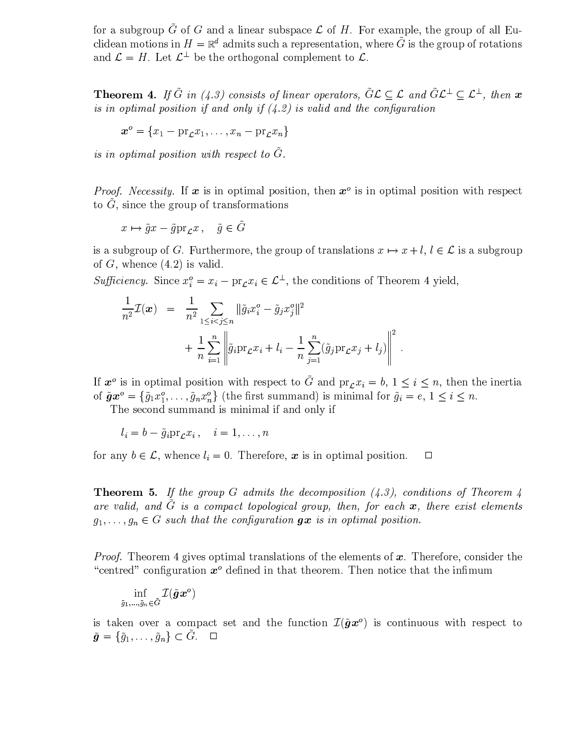for a subgroup  $\tilde{G}$  of G and a linear subspace  $\mathcal L$  of H. For example, the group of all Euclidean motions in  $H = \mathbb{R}^d$  admits such a representation, where  $\tilde{G}$  is the group of rotations and  $\mathcal{L} = H$ . Let  $\mathcal{L}^{\perp}$  be the orthogonal complement to  $\mathcal{L}$ .

**Theorem 4.** If  $\tilde{G}$  in (4.3) consists of linear operators,  $\tilde{G}\mathcal{L} \subseteq \mathcal{L}$  and  $\tilde{G}\mathcal{L}^{\perp} \subseteq \mathcal{L}^{\perp}$ , then x is in optimal position if and only if  $(4.2)$  is valid and the configuration

$$
\boldsymbol{x}^o = \{x_1 - \mathrm{pr}_{\mathcal{L}}x_1, \ldots, x_n - \mathrm{pr}_{\mathcal{L}}x_n\}
$$

is in optimal position with respect to  $\tilde{G}$ .

*Proof. Necessity.* If x is in optimal position, then  $x^{\circ}$  is in optimal position with respect to  $\tilde{G}$ , since the group of transformations

$$
x \mapsto \tilde{g}x - \tilde{g}\text{pr}_{\mathcal{L}}x \,, \quad \tilde{g} \in \tilde{G}
$$

is a subgroup of G. Furthermore, the group of translations  $x \mapsto x + l$ ,  $l \in \mathcal{L}$  is a subgroup of  $G$ , whence  $(4.2)$  is valid.

Sufficiency. Since  $x_i^o = x_i - \text{pr}_{\mathcal{L}} x_i \in \mathcal{L}^{\perp}$ , the conditions of Theorem 4 yield,

$$
\frac{1}{n^2} \mathcal{I}(\boldsymbol{x}) = \frac{1}{n^2} \sum_{1 \leq i < j \leq n} \| \tilde{g}_i x_i^o - \tilde{g}_j x_j^o \| ^2 \n+ \frac{1}{n} \sum_{i=1}^n \left\| \tilde{g}_i \operatorname{pr}_{\mathcal{L}} x_i + l_i - \frac{1}{n} \sum_{j=1}^n (\tilde{g}_j \operatorname{pr}_{\mathcal{L}} x_j + l_j) \right\|^2.
$$

If  $x^{\circ}$  is in optimal position with respect to  $\tilde{G}$  and  $\text{pr}_{\mathcal{L}}x_i = b$ ,  $1 \leq i \leq n$ , then the inertia of  $\tilde{\mathbf{g}}\mathbf{x}^o = {\tilde{g}_1 x_1^o, \dots, \tilde{g}_n x_n^o}$  (the first summand) is minimal for  $\tilde{g}_i = e, 1 \leq i \leq n$ .

The second summand is minimal if and only if

 $l_i = b - \tilde{q}_i \text{pr}_i x_i, \quad i = 1, \ldots, n$ 

for any  $b \in \mathcal{L}$ , whence  $l_i = 0$ . Therefore, x is in optimal position.  $\Box$ 

**Theorem 5.** If the group G admits the decomposition  $(4.3)$ , conditions of Theorem 4 are valid, and  $\tilde{G}$  is a compact topological group, then, for each  $x$ , there exist elements  $g_1, \ldots, g_n \in G$  such that the configuration  $gx$  is in optimal position.

*Proof.* Theorem 4 gives optimal translations of the elements of  $x$ . Therefore, consider the "centred" configuration  $x^{\circ}$  defined in that theorem. Then notice that the infimum

$$
\inf_{\tilde{g}_1,...,\tilde{g}_n\in \tilde{G}}\mathcal{I}(\tilde{\boldsymbol{g}}\boldsymbol{x}^o)
$$

is taken over a compact set and the function  $\mathcal{I}(\tilde{g}x^{\circ})$  is continuous with respect to  $\tilde{\boldsymbol{g}} = \{\tilde{g}_1, \ldots, \tilde{g}_n\} \subset \tilde{G}$ .  $\Box$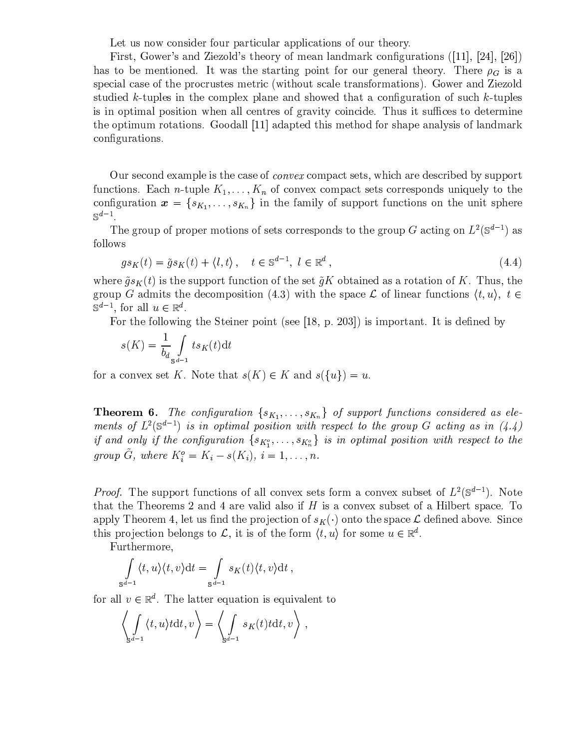Let us now consider four particular applications of our theory.

First, Gower's and Ziezold's theory of mean landmark configurations ([11], [24], [26]) has to be mentioned. It was the starting point for our general theory. There  $\rho_G$  is a special case of the procrustes metric (without scale transformations). Gower and Ziezold studied k-tuples in the complex plane and showed that a configuration of such k-tuples is in optimal position when all centres of gravity coincide. Thus it suffices to determine the optimum rotations. Goodall [11] adapted this method for shape analysis of landmark configurations.

Our second example is the case of *convex* compact sets, which are described by support functions. Each *n*-tuple  $K_1, \ldots, K_n$  of convex compact sets corresponds uniquely to the configuration  $\boldsymbol{x} = \{s_{K_1}, \ldots, s_{K_n}\}\$ in the family of support functions on the unit sphere  $\mathbb{S}^{d-1}$ 

The group of proper motions of sets corresponds to the group G acting on  $L^2(\mathbb{S}^{d-1})$  as follows

$$
gs_K(t) = \tilde{g}s_K(t) + \langle l, t \rangle, \quad t \in \mathbb{S}^{d-1}, \ l \in \mathbb{R}^d \,, \tag{4.4}
$$

where  $\tilde{g}s_K(t)$  is the support function of the set  $\tilde{g}K$  obtained as a rotation of K. Thus, the group G admits the decomposition (4.3) with the space  $\mathcal L$  of linear functions  $\langle t, u \rangle$ ,  $t \in$  $\mathbb{S}^{d-1}$ , for all  $u \in \mathbb{R}^d$ .

For the following the Steiner point (see [18, p. 203]) is important. It is defined by

$$
s(K) = \frac{1}{b_d} \int_{\mathbb{S}^{d-1}} t s_K(t) dt
$$

for a convex set K. Note that  $s(K) \in K$  and  $s({u}) = u$ .

**Theorem 6.** The configuration  $\{s_{K_1},\ldots,s_{K_n}\}\$  of support functions considered as elements of  $L^2(\mathbb{S}^{d-1})$  is in optimal position with respect to the group G acting as in  $(4.4)$ if and only if the configuration  $\{s_{K_1^o}, \ldots, s_{K_n^o}\}\$  is in optimal position with respect to the group  $\tilde{G}$ , where  $K_i^o = K_i - s(K_i)$ ,  $i = 1, ..., n$ .

*Proof.* The support functions of all convex sets form a convex subset of  $L^2(\mathbb{S}^{d-1})$ . Note that the Theorems 2 and 4 are valid also if  $H$  is a convex subset of a Hilbert space. To apply Theorem 4, let us find the projection of  $s_K(\cdot)$  onto the space  $\mathcal L$  defined above. Since this projection belongs to L, it is of the form  $\langle t, u \rangle$  for some  $u \in \mathbb{R}^d$ .

Furthermore,

$$
\int_{S^{d-1}} \langle t, u \rangle \langle t, v \rangle dt = \int_{S^{d-1}} s_K(t) \langle t, v \rangle dt,
$$

for all  $v \in \mathbb{R}^d$ . The latter equation is equivalent to

$$
\left\langle \int_{\mathbb{S}^{d-1}} \langle t, u \rangle t \mathrm{d}t, v \right\rangle = \left\langle \int_{\mathbb{S}^{d-1}} s_K(t) t \mathrm{d}t, v \right\rangle,
$$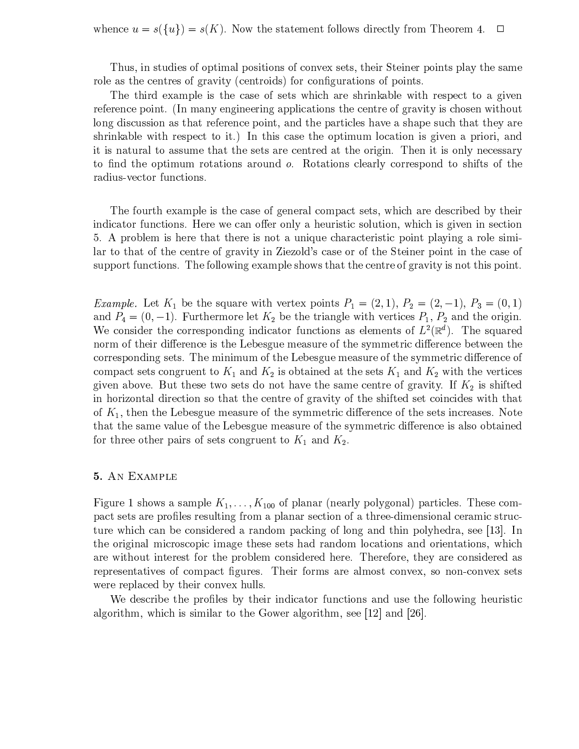whence  $u = s({u}) = s(K)$ . Now the statement follows directly from Theorem 4.  $\Box$ 

Thus, in studies of optimal positions of convex sets, their Steiner points play the same role as the centres of gravity (centroids) for configurations of points.

The third example is the case of sets which are shrinkable with respect to a given reference point. (In many engineering applications the centre of gravity is chosen without long discussion as that reference point, and the particles have a shape such that they are shrinkable with respect to it.) In this case the optimum location is given a priori, and it is natural to assume that the sets are centred at the origin. Then it is only necessary to find the optimum rotations around o. Rotations clearly correspond to shifts of the radius-vector functions.

The fourth example is the case of general compact sets, which are described by their indicator functions. Here we can offer only a heuristic solution, which is given in section 5. A problem is here that there is not a unique characteristic point playing a role similar to that of the centre of gravity in Ziezold's case or of the Steiner point in the case of support functions. The following example shows that the centre of gravity is not this point.

*Example.* Let  $K_1$  be the square with vertex points  $P_1 = (2, 1), P_2 = (2, -1), P_3 = (0, 1)$ and  $P_4 = (0, -1)$ . Furthermore let  $K_2$  be the triangle with vertices  $P_1$ ,  $P_2$  and the origin. We consider the corresponding indicator functions as elements of  $L^2(\mathbb{R}^d)$ . The squared norm of their difference is the Lebesgue measure of the symmetric difference between the corresponding sets. The minimum of the Lebesgue measure of the symmetric difference of compact sets congruent to  $K_1$  and  $K_2$  is obtained at the sets  $K_1$  and  $K_2$  with the vertices given above. But these two sets do not have the same centre of gravity. If  $K_2$  is shifted in horizontal direction so that the centre of gravity of the shifted set coincides with that of  $K_1$ , then the Lebesgue measure of the symmetric difference of the sets increases. Note that the same value of the Lebesgue measure of the symmetric difference is also obtained for three other pairs of sets congruent to  $K_1$  and  $K_2$ .

## 5. AN EXAMPLE

Figure 1 shows a sample  $K_1, \ldots, K_{100}$  of planar (nearly polygonal) particles. These compact sets are profiles resulting from a planar section of a three-dimensional ceramic structure which can be considered a random packing of long and thin polyhedra, see [13]. In the original microscopic image these sets had random locations and orientations, which are without interest for the problem considered here. Therefore, they are considered as representatives of compact figures. Their forms are almost convex, so non-convex sets were replaced by their convex hulls.

We describe the profiles by their indicator functions and use the following heuristic algorithm, which is similar to the Gower algorithm, see [12] and [26].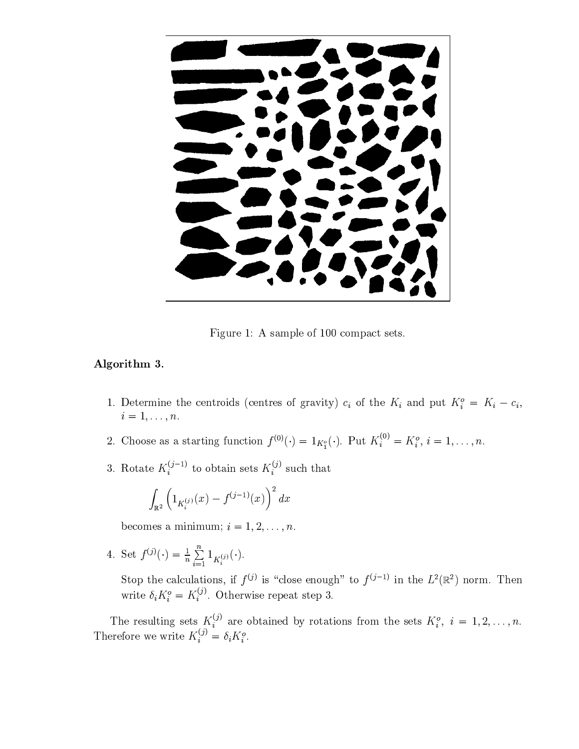

Figure 1: A sample of 100 compact sets.

# Algorithm 3.

- 1. Determine the centroids (centres of gravity)  $c_i$  of the  $K_i$  and put  $K_i^o = K_i c_i$ ,  $i=1,\ldots,n.$
- 2. Choose as a starting function  $f^{(0)}(\cdot) = 1_{K_1^o}(\cdot)$ . Put  $K_i^{(0)} = K_i^o$ ,  $i = 1, ..., n$ .
- 3. Rotate  $K_i^{(j-1)}$  to obtain sets  $K_i^{(j)}$  such that

$$
\int_{\mathbb{R}^2} \left(1_{K_i^{(j)}}(x) - f^{(j-1)}(x)\right)^2 dx
$$

becomes a minimum;  $i = 1, 2, ..., n$ .

4. Set  $f^{(j)}(\cdot) = \frac{1}{n} \sum_{i=1}^{n} 1_{K_i^{(j)}}(\cdot)$ .

Stop the calculations, if  $f^{(j)}$  is "close enough" to  $f^{(j-1)}$  in the  $L^2(\mathbb{R}^2)$  norm. Then write  $\delta_i K_i^o = K_i^{(j)}$ . Otherwise repeat step 3.

The resulting sets  $K_i^{(j)}$  are obtained by rotations from the sets  $K_i^o$ ,  $i = 1, 2, ..., n$ .<br>Therefore we write  $K_i^{(j)} = \delta_i K_i^o$ .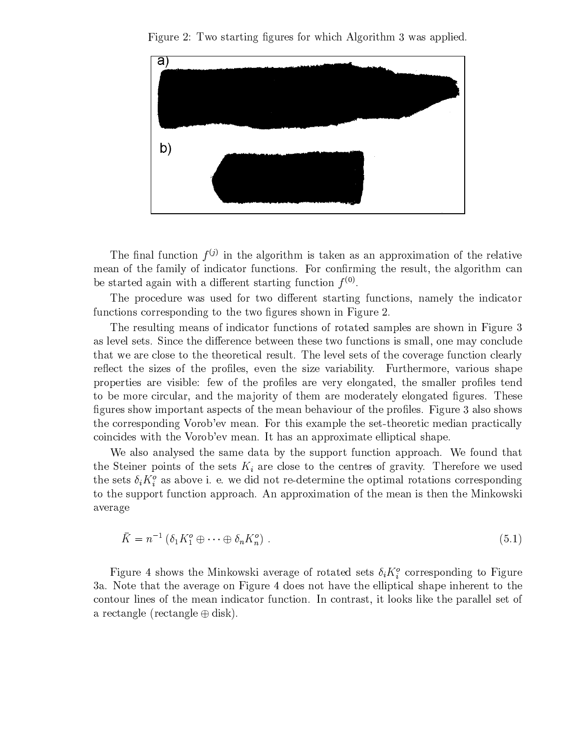

Figure 2: Two starting figures for which Algorithm 3 was applied.

The final function  $f^{(j)}$  in the algorithm is taken as an approximation of the relative mean of the family of indicator functions. For confirming the result, the algorithm can be started again with a different starting function  $f^{(0)}$ .

The procedure was used for two different starting functions, namely the indicator functions corresponding to the two figures shown in Figure 2.

The resulting means of indicator functions of rotated samples are shown in Figure 3 as level sets. Since the difference between these two functions is small, one may conclude that we are close to the theoretical result. The level sets of the coverage function clearly reflect the sizes of the profiles, even the size variability. Furthermore, various shape properties are visible: few of the profiles are very elongated, the smaller profiles tend to be more circular, and the majority of them are moderately elongated figures. These figures show important aspects of the mean behaviour of the profiles. Figure 3 also shows the corresponding Vorob'ev mean. For this example the set-theoretic median practically coincides with the Vorob'ev mean. It has an approximate elliptical shape.

We also analysed the same data by the support function approach. We found that the Steiner points of the sets  $K_i$  are close to the centres of gravity. Therefore we used the sets  $\delta_i K_i^{\circ}$  as above i. e. we did not re-determine the optimal rotations corresponding to the support function approach. An approximation of the mean is then the Minkowski average

$$
\bar{K} = n^{-1} \left( \delta_1 K_1^o \oplus \dots \oplus \delta_n K_n^o \right) \tag{5.1}
$$

Figure 4 shows the Minkowski average of rotated sets  $\delta_i K_i^o$  corresponding to Figure 3a. Note that the average on Figure 4 does not have the elliptical shape inherent to the contour lines of the mean indicator function. In contrast, it looks like the parallel set of a rectangle (rectangle  $\oplus$  disk).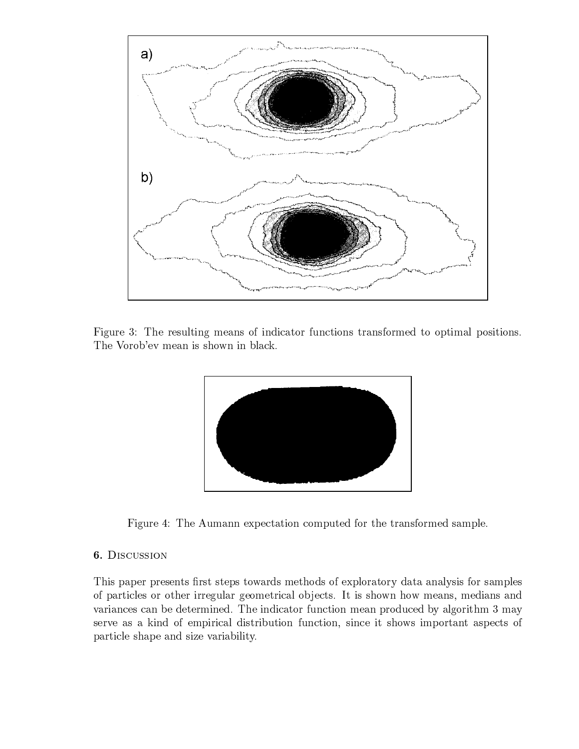

Figure 3: The resulting means of indicator functions transformed to optimal positions. The Vorob'ev mean is shown in black.



Figure 4: The Aumann expectation computed for the transformed sample.

# 6. DISCUSSION

This paper presents first steps towards methods of exploratory data analysis for samples of particles or other irregular geometrical objects. It is shown how means, medians and variances can be determined. The indicator function mean produced by algorithm 3 may serve as a kind of empirical distribution function, since it shows important aspects of particle shape and size variability.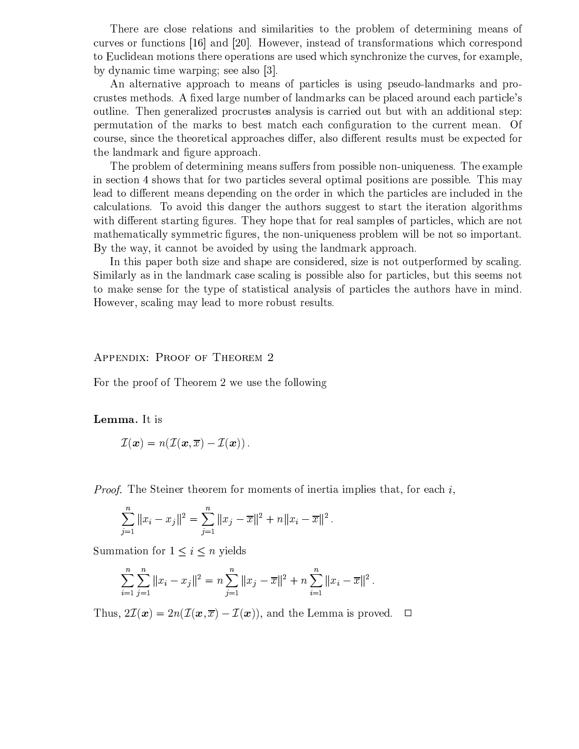w"Q)O»O ¼w»LO ½NMPUP¸LO »LONMp¼N¹KPUXWc¸¼W)f¸KP[K~Mp¼%»RK.¹KVOo¸¹U-¹>Q)O¬\c»LU%·\_MPO[ U bf)OI¹>Oo»[mKPW\_KPW\_d©[]O¼W=¸yU b curves or functions [16] and [20]. However, instead of transformations which correspond ¹>U ´n=½NM~KPfxO¼W[yUN¹KPUXW=¸¦¹QxOo»O8UX\GO»Y¼n¹LKPUXWc¸¼w»LOnc¸Ofps^Q\_K ½NQT¸#e)Wc½NQc»UXWgK~SOæ¹>Q)O½`nc»R{Oo¸v`bU%»O}¼[]\\_MVOv by dynamic time warping; see also [3].

An alternative approach to means of particles is using pseudo-landmarks and procrustes methods. A fixed large number of landmarks can be placed around each particle's outline. Then generalized procrustes analysis is carried out but with an additional step: permutation of the marks to best match each configuration to the current mean. Of course, since the theoretical approaches differ, also different results must be expected for the landmark and figure approach.

The problem of determining means suffers from possible non-uniqueness. The example in section 4 shows that for two particles several optimal positions are possible. This may lead to different means depending on the order in which the particles are included in the ½;¼ M ½ngMp¼n¹KPUjWc¸kzw <sup>U</sup> ¼`{|UKVf¹QgK ¸pf=¼W\_d|Oo»¹Q)Oؼn³¹>Q)U%»Ô¸h¸n\_dXdO¸º¹h¹>U¨¸Ô¹3¼w»º¹\*¹>Q)OK.¹>Oo»W¼n¹KPUXW ¼ M~dU%»#K.¹Q)[¸ with different starting figures. They hope that for real samples of particles, which are not mathematically symmetric figures, the non-uniqueness problem will be not so important. By the way, it cannot be avoided by using the landmark approach.

In this paper both size and shape are considered, size is not outperformed by scaling. Similarly as in the landmark case scaling is possible also for particles, but this seems not to make sense for the type of statistical analysis of particles the authors have in mind. However, scaling may lead to more robust results.

 $\blacksquare$ 

For the proof of Theorem 2 we use the following

 $\blacksquare$  : later  $\blacksquare$ 

 $\mathcal{I}(\boldsymbol{x}) = n(\mathcal{I}(\boldsymbol{x},\overline{\boldsymbol{x}})-\mathcal{I}(\boldsymbol{x})).$ 

*Proof.* The Steiner theorem for moments of inertia implies that, for each  $i$ ,

$$
\sum_{j=1}^{n} ||x_i - x_j||^2 = \sum_{j=1}^{n} ||x_j - \overline{x}||^2 + n||x_i - \overline{x}||^2.
$$

Summation for  $1 \leq i \leq n$  yields

$$
\sum_{i=1}^{n} \sum_{j=1}^{n} ||x_i - x_j||^2 = n \sum_{j=1}^{n} ||x_j - \overline{x}||^2 + n \sum_{i=1}^{n} ||x_i - \overline{x}||^2.
$$

Thus,  $2\mathcal{I}(\boldsymbol{x}) = 2n(\mathcal{I}(\boldsymbol{x},\overline{\boldsymbol{x}})-\mathcal{I}(\boldsymbol{x}))$ , and the Lemma is proved.  $\Box$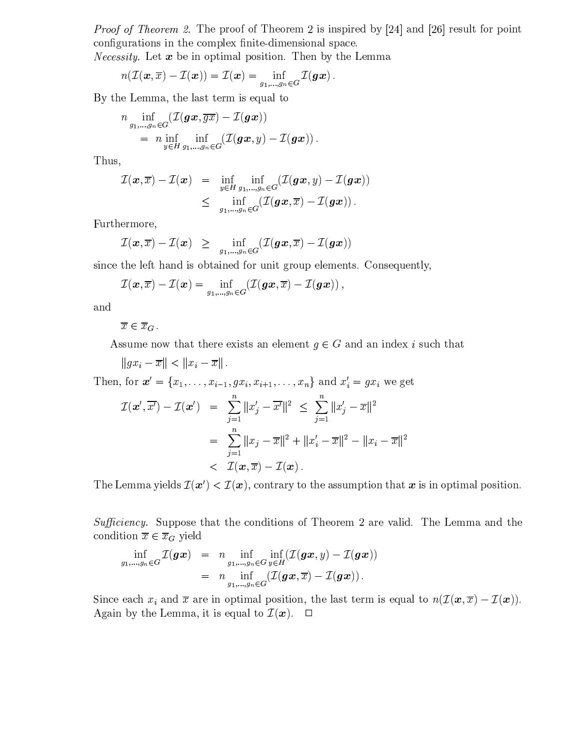Proof of Theorem 2. The proof of Theorem 2 is inspired by [24] and [26] result for point configurations in the complex finite-dimensional space.

*Necessity*. Let  $x$  be in optimal position. Then by the Lemma

$$
n(\mathcal{I}(\boldsymbol{x},\overline{x})-\mathcal{I}(\boldsymbol{x}))=\mathcal{I}(\boldsymbol{x})=\inf_{g_1,\dots,g_n\in G}\mathcal{I}(\boldsymbol{gx}).
$$

By the Lemma, the last term is equal to

$$
n \inf_{g_1,\dots,g_n \in G} (\mathcal{I}(\boldsymbol{gx}, \overline{gx}) - \mathcal{I}(\boldsymbol{gx}))
$$
  
=  $n \inf_{y \in H} \inf_{g_1,\dots,g_n \in G} (\mathcal{I}(\boldsymbol{gx}, y) - \mathcal{I}(\boldsymbol{gx})).$ 

Thus,

$$
\mathcal{I}(\boldsymbol{x},\overline{\boldsymbol{x}})-\mathcal{I}(\boldsymbol{x}) = \inf_{y\in H} \inf_{g_1,\dots,g_n\in G} (\mathcal{I}(\boldsymbol{gx},y)-\mathcal{I}(\boldsymbol{gx}))
$$
  

$$
\leq \inf_{g_1,\dots,g_n\in G} (\mathcal{I}(\boldsymbol{gx},\overline{\boldsymbol{x}})-\mathcal{I}(\boldsymbol{gx})).
$$

Furthermore,

$$
\mathcal{I}(\boldsymbol{x},\overline{x})-\mathcal{I}(\boldsymbol{x}) \geq \inf_{g_1,\ldots,g_n\in G} (\mathcal{I}(\boldsymbol{gx},\overline{x})-\mathcal{I}(\boldsymbol{gx}))
$$

since the left hand is obtained for unit group elements. Consequently,

$$
\mathcal{I}(\boldsymbol{x},\overline{\boldsymbol{x}})-\mathcal{I}(\boldsymbol{x})=\inf_{g_1,\dots,g_n\in G}(\mathcal{I}(\boldsymbol{gx},\overline{\boldsymbol{x}})-\mathcal{I}(\boldsymbol{gx}))
$$

and

 $\overline{x} \in \overline{x}_G$ .

Assume now that there exists an element  $g \in G$  and an index i such that

 $||qx_i - \overline{x}|| < ||x_i - \overline{x}||.$ Then, for  $x' = \{x_1, ..., x_{i-1}, gx_i, x_{i+1}, ..., x_n\}$  and  $x'_i = gx_i$  we get  $\mathcal{I}(\bm{x}', \overline{x'}) - \mathcal{I}(\bm{x}') = \sum_{i=1}^n ||x'_j - \overline{x'}||^2 \leq \sum_{i=1}^n ||x'_j - \overline{x}||^2$  $= \sum_{i=1}^n ||x_j - \overline{x}||^2 + ||x'_i - \overline{x}||^2 - ||x_i - \overline{x}||^2$  $\langle \mathcal{I}(\boldsymbol{x},\overline{\boldsymbol{x}})-\mathcal{I}(\boldsymbol{x})\rangle.$ 

The Lemma yields  $\mathcal{I}(\mathbf{x}') < \mathcal{I}(\mathbf{x})$ , contrary to the assumption that x is in optimal position.

*Sufficiency.* Suppose that the conditions of Theorem 2 are valid. The Lemma and the condition  $\overline{x} \in \overline{x}_G$  yield

$$
\inf_{g_1,\dots,g_n\in G} \mathcal{I}(\boldsymbol{gx}) = n \inf_{g_1,\dots,g_n\in G} \inf_{y\in H} (\mathcal{I}(\boldsymbol{gx},y) - \mathcal{I}(\boldsymbol{gx}))
$$
\n
$$
= n \inf_{g_1,\dots,g_n\in G} (\mathcal{I}(\boldsymbol{gx},\overline{x}) - \mathcal{I}(\boldsymbol{gx})).
$$

Since each  $x_i$  and  $\overline{x}$  are in optimal position, the last term is equal to  $n(\mathcal{I}(\bm{x}, \overline{x}) - \mathcal{I}(\bm{x})).$ Again by the Lemma, it is equal to  $\mathcal{I}(\bm{x})$ .  $\Box$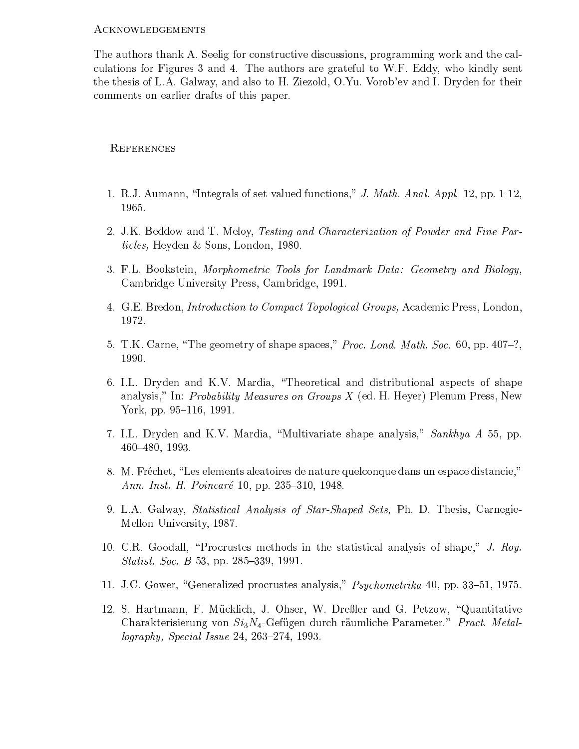## ACKNOWLEDGEMENTS

The authors thank A. Seelig for constructive discussions, programming work and the calculations for Figures 3 and 4. The authors are grateful to W.F. Eddy, who kindly sent the thesis of L.A. Galway, and also to H. Ziezold, O.Yu. Vorob'ev and I. Dryden for their comments on earlier drafts of this paper.

# **REFERENCES**

- 1. R.J. Aumann, "Integrals of set-valued functions," J. Math. Anal. Appl. 12, pp. 1-12, 1965.
- 2. J.K. Beddow and T. Meloy, Testing and Characterization of Powder and Fine Particles, Heyden & Sons, London, 1980.
- 3. F.L. Bookstein, Morphometric Tools for Landmark Data: Geometry and Biology, Cambridge University Press, Cambridge, 1991.
- 4. G.E. Bredon, *Introduction to Compact Topological Groups*, Academic Press, London, 1972.
- 5. T.K. Carne, "The geometry of shape spaces," *Proc. Lond. Math. Soc.* 60, pp. 407–?, 1990.
- 6. I.L. Dryden and K.V. Mardia, "Theoretical and distributional aspects of shape analysis," In: *Probability Measures on Groups X* (ed. H. Heyer) Plenum Press, New York, pp. 95–116, 1991.
- 7. I.L. Dryden and K.V. Mardia, "Multivariate shape analysis," Sankhya A 55, pp. 460-480, 1993.
- 8. M. Fréchet, "Les elements aleatoires de nature quelconque dans un espace distancie," Ann. Inst. H. Poincaré 10, pp. 235-310, 1948.
- 9. L.A. Galway, Statistical Analysis of Star-Shaped Sets, Ph. D. Thesis, Carnegie-Mellon University, 1987.
- 10. C.R. Goodall, "Procrustes methods in the statistical analysis of shape," J. Roy. *Statist. Soc. B* 53, pp. 285-339, 1991.
- 11. J.C. Gower, "Generalized procrustes analysis," *Psychometrika* 40, pp. 33–51, 1975.
- 12. S. Hartmann, F. Mücklich, J. Ohser, W. Dreßler and G. Petzow, "Quantitative Charakterisierung von  $Si_3N_4$ -Gefügen durch räumliche Parameter." Pract. Metal $lography$ , Special Issue 24, 263-274, 1993.